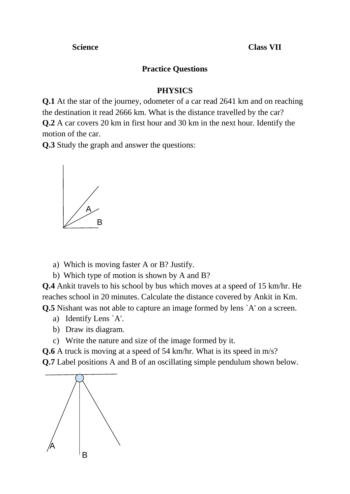**Science Class VII** 

## **Practice Questions**

#### **PHYSICS**

**Q.1** At the star of the journey, odometer of a car read 2641 km and on reaching the destination it read 2666 km. What is the distance travelled by the car? **Q.2** A car covers 20 km in first hour and 30 km in the next hour. Identify the motion of the car.

**Q.3** Study the graph and answer the questions:



- a) Which is moving faster A or B? Justify.
- b) Which type of motion is shown by A and B?

**Q.4** Ankit travels to his school by bus which moves at a speed of 15 km/hr. He reaches school in 20 minutes. Calculate the distance covered by Ankit in Km. **Q.5** Nishant was not able to capture an image formed by lens `A' on a screen.

- a) Identify Lens `A'.
- b) Draw its diagram.
- c) Write the nature and size of the image formed by it.

**Q.6** A truck is moving at a speed of 54 km/hr. What is its speed in m/s? **Q.7** Label positions A and B of an oscillating simple pendulum shown below.

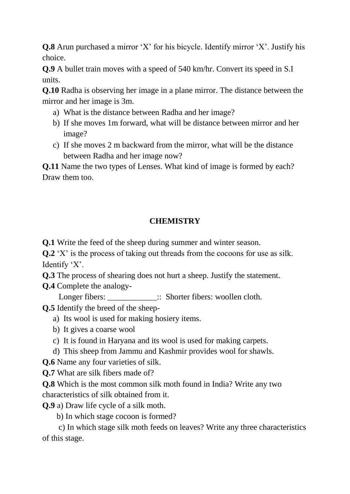**Q.8** Arun purchased a mirror 'X' for his bicycle. Identify mirror 'X'. Justify his choice.

**Q.9** A bullet train moves with a speed of 540 km/hr. Convert its speed in S.I units.

**Q.10** Radha is observing her image in a plane mirror. The distance between the mirror and her image is 3m.

- a) What is the distance between Radha and her image?
- b) If she moves 1m forward, what will be distance between mirror and her image?
- c) If she moves 2 m backward from the mirror, what will be the distance between Radha and her image now?

**Q.11** Name the two types of Lenses. What kind of image is formed by each? Draw them too.

### **CHEMISTRY**

**Q.1** Write the feed of the sheep during summer and winter season.

**Q.2** 'X' is the process of taking out threads from the cocoons for use as silk. Identify 'X'.

**Q.3** The process of shearing does not hurt a sheep. Justify the statement.

**Q.4** Complete the analogy-

Longer fibers:  $\therefore$  Shorter fibers: woollen cloth.

**Q.5** Identify the breed of the sheep-

- a) Its wool is used for making hosiery items.
- b) It gives a coarse wool
- c) It is found in Haryana and its wool is used for making carpets.
- d) This sheep from Jammu and Kashmir provides wool for shawls.

**Q.6** Name any four varieties of silk.

**Q.7** What are silk fibers made of?

**Q.8** Which is the most common silk moth found in India? Write any two characteristics of silk obtained from it.

**Q.9** a) Draw life cycle of a silk moth.

b) In which stage cocoon is formed?

 c) In which stage silk moth feeds on leaves? Write any three characteristics of this stage.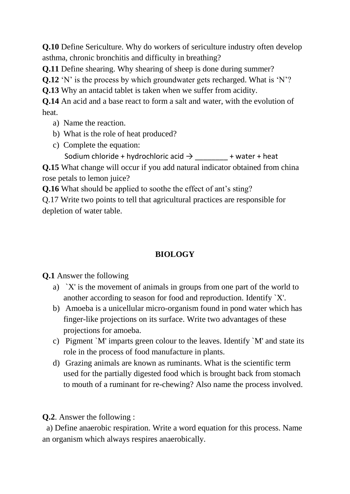**Q.10** Define Sericulture. Why do workers of sericulture industry often develop asthma, chronic bronchitis and difficulty in breathing?

**Q.11** Define shearing. Why shearing of sheep is done during summer?

**Q.12** 'N' is the process by which groundwater gets recharged. What is 'N'?

**Q.13** Why an antacid tablet is taken when we suffer from acidity.

**Q.14** An acid and a base react to form a salt and water, with the evolution of heat.

- a) Name the reaction.
- b) What is the role of heat produced?
- c) Complete the equation:

Sodium chloride + hydrochloric acid  $\rightarrow$  + water + heat

**Q.15** What change will occur if you add natural indicator obtained from china rose petals to lemon juice?

**Q.16** What should be applied to soothe the effect of ant's sting?

Q.17 Write two points to tell that agricultural practices are responsible for depletion of water table.

# **BIOLOGY**

### **Q.1** Answer the following

- a) `X' is the movement of animals in groups from one part of the world to another according to season for food and reproduction. Identify `X'.
- b) Amoeba is a unicellular micro-organism found in pond water which has finger-like projections on its surface. Write two advantages of these projections for amoeba.
- c) Pigment `M' imparts green colour to the leaves. Identify `M' and state its role in the process of food manufacture in plants.
- d) Grazing animals are known as ruminants. What is the scientific term used for the partially digested food which is brought back from stomach to mouth of a ruminant for re-chewing? Also name the process involved.

**Q.2**. Answer the following :

a) Define anaerobic respiration. Write a word equation for this process. Name an organism which always respires anaerobically.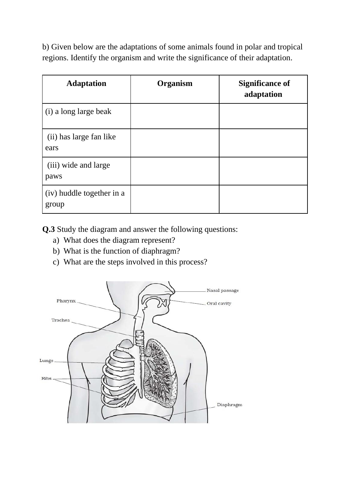b) Given below are the adaptations of some animals found in polar and tropical regions. Identify the organism and write the significance of their adaptation.

| <b>Adaptation</b>                  | Organism | <b>Significance of</b><br>adaptation |
|------------------------------------|----------|--------------------------------------|
| (i) a long large beak              |          |                                      |
| (ii) has large fan like<br>ears    |          |                                      |
| (iii) wide and large<br>paws       |          |                                      |
| (iv) huddle together in a<br>group |          |                                      |

**Q.3** Study the diagram and answer the following questions:

- a) What does the diagram represent?
- b) What is the function of diaphragm?
- c) What are the steps involved in this process?